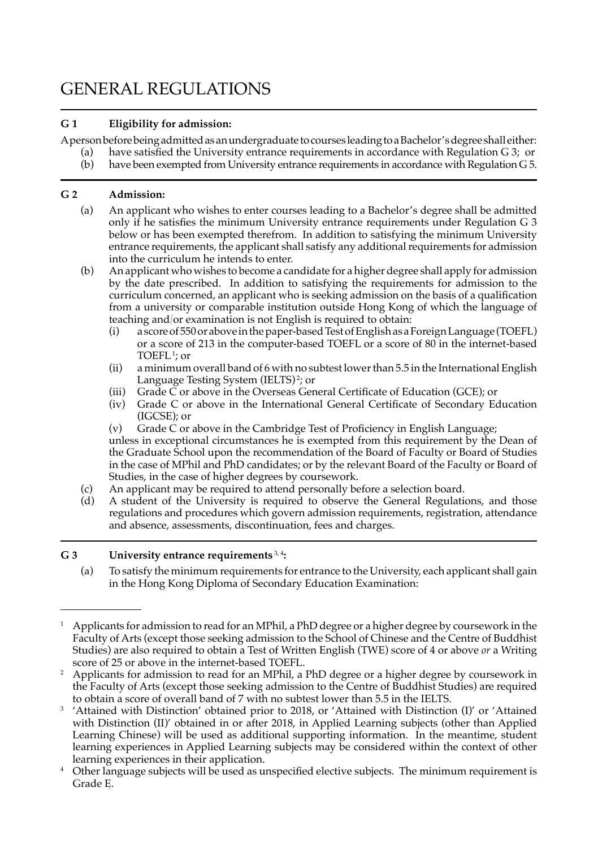# GENERAL REGULATIONS

## **G 1 Eligibility for admission:**

A person before being admitted as an undergraduate to courses leading to a Bachelor's degree shall either:

- (a) have satisfied the University entrance requirements in accordance with Regulation G 3; or
- (b) have been exempted from University entrance requirements in accordance with Regulation G 5.  $(b)$

## **G 2 Admission:**

- (a) An applicant who wishes to enter courses leading to a Bachelor's degree shall be admitted only if he satisfies the minimum University entrance requirements under Regulation G 3 below or has been exempted therefrom. In addition to satisfying the minimum University entrance requirements, the applicant shall satisfy any additionalrequirements for admission into the curriculum he intends to enter.  $(a)$
- (b) An applicant who wishes to become a candidate for a higher degree shall apply for admission by the date prescribed. In addition to satisfying the requirements for admission to the curriculum concerned, an applicant who is seeking admission on the basis of a qualification from a university or comparable institution outside Hong Kong of which the language of teaching and/or examination is not English is required to obtain: (b)
	- (i) a score of 550 or abovein the paper-based Test of English as a Foreign Language (TOEFL) or a score of 213 in the computer-based TOEFL or a score of 80 in the internet-based TOEFL<sup>1</sup>; or
	- (ii) a minimum overall band of 6 with no subtestlowerthan 5.5 in the International English Language Testing System (IELTS)<sup>2</sup>; or  $(ii)$
	- (iii) Grade C or above in the Overseas General Certificate of Education (GCE); or
	- (iv) Grade C or above in the International General Certificate of Secondary Education (IGCSE); or
	- (v) Grade C or above in the Cambridge Test of Proficiency in English Language;  $(v)$

 unless in exceptional circumstances he is exempted from this requirement by the Dean of the Graduate School upon the recommendation of the Board of Faculty or Board of Studies in the case of MPhil and PhD candidates; or by the relevant Board of the Faculty or Board of Studies, in the case of higher degrees by coursework.

- (c) An applicant may be required to attend personally before a selection board.  $(c)$
- (d) A student of the University is required to observe the General Regulations, and those regulations and procedures which govern admission requirements, registration, attendance and absence, assessments, discontinuation, fees and charges.  $(d)$

## **G 3 University entrance requirements** 3, <sup>4</sup> **:**

 (a) To satisfy the minimum requirements for entrance to the University, each applicant shall gain in the Hong Kong Diploma of Secondary Education Examination:

 $^1$  Applicants for admission to read for an MPhil, a PhD degree or a higher degree by coursework in the Faculty of Arts (except those seeking admission to the School of Chinese and the Centre of Buddhist Studies) are also required to obtain a Test of Written English (TWE) score of 4 or above *or* a Writing score of 25 or above in the internet-based TOEFL.

 $^2$  Applicants for admission to read for an MPhil, a PhD degree or a higher degree by coursework in the Faculty of Arts (except those seeking admission to the Centre of Buddhist Studies) are required to obtain a score of overall band of 7 with no subtest lower than 5.5 in the IELTS.

 <sup>3</sup> 'Attained with Distinction' obtained prior to 2018, or 'Attained with Distinction (I)' or 'Attained with Distinction (II)' obtained in or after 2018, in Applied Learning subjects (other than Applied Learning Chinese) will be used as additional supporting information. In the meantime, student learning experiences in Applied Learning subjects may be considered within the context of other learning experiences in their application.

 <sup>4</sup> Other language subjects will be used as unspecified elective subjects. The minimum requirement is Grade E.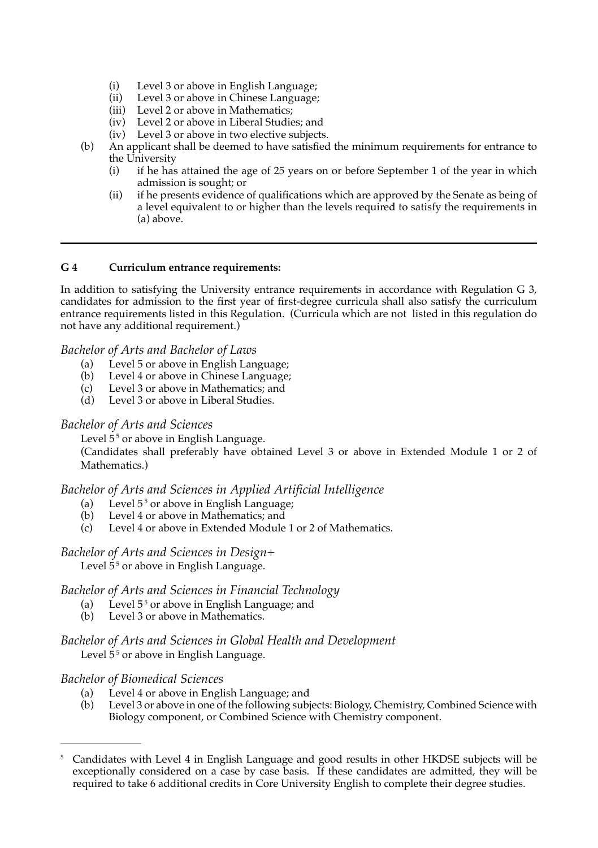- (i) Level 3 or above in English Language;  $(i)$
- (ii) Level 3 or above in Chinese Language;
- (iii) Level 2 or above in Mathematics;
- (iv) Level 2 or above in Liberal Studies; and
- $(iv)$  Level 3 or above in two elective subjects.
- (b) An applicant shall be deemed to have satisfied the minimum requirements for entrance to  $(b)$ the University<br>(i) if he has
	- (i) if he has attained the age of 25 years on or before September 1 of the year in which admission is sought; or
	- (ii) if he presents evidence of qualifications which are approved by the Senate as being of a level equivalent to or higher than the levels required to satisfy the requirements in (a) above.

## **G 4 Curriculum entrance requirements:**

 In addition to satisfying the University entrance requirements in accordance with Regulation G 3, candidates for admission to the first year of first-degree curricula shall also satisfy the curriculum entrance requirements listed in this Regulation. (Curricula which are not listed in this regulation do not have any additional requirement.)

#### *Bachelor of Arts and Bachelor of Laws*

- (a) Level 5 or above in English Language;
- (b) Level 4 or above in Chinese Language;
- (c) Level 3 or above in Mathematics; and
- (d) Level 3 or above in Liberal Studies.

## *Bachelor of Arts and Sciences*

Level 5<sup>5</sup> or above in English Language.

 (Candidates shall preferably have obtained Level 3 or above in Extended Module 1 or 2 of Mathematics.)

## *Bachelor of Arts and Sciences in Applied Artificial Intelligence*

- (a) Level  $5<sup>5</sup>$  or above in English Language;  $(a)$
- (b) Level 4 or above in Mathematics; and  $(h)$
- (c) Level 4 or above in Extended Module 1 or 2 of Mathematics.  $(c)$

## *Bachelor of Arts and Sciences in Design+*

Level 5<sup>5</sup> or above in English Language.

## *Bachelor of Arts and Sciences in Financial Technology*

- (a) Level 5<sup>5</sup> or above in English Language; and
- (b) Level 3 or above in Mathematics.

## Level 5<sup>5</sup> or above in English Language. *Bachelor of Arts and Sciences in Global Health and Development*

## *Bachelor of Biomedical Sciences*

- (a) Level 4 or above in English Language; and
- (b) Level 3 or above in one of the following subjects: Biology, Chemistry, Combined Science with Biology component, or Combined Science with Chemistry component.

<sup>5</sup> Candidates with Level 4 in English Language and good results in other HKDSE subjects will beexceptionally considered on a case by case basis. If these candidates are admitted, they will be required to take 6 additional credits in Core University English to complete their degree studies.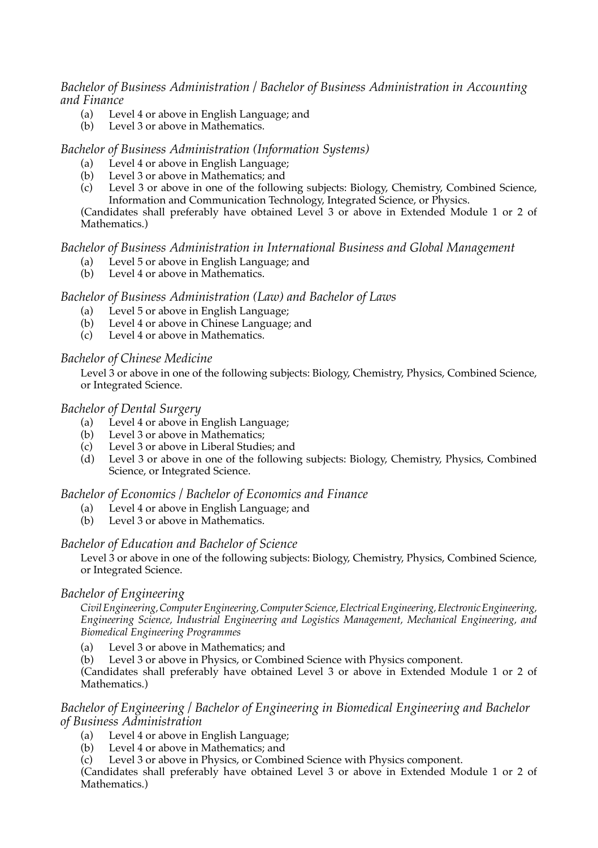## *Bachelor of Business Administration / Bachelor of Business Administration in Accounting and Finance*

- (a) Level 4 or above in English Language; and
- (b) Level 3 or above in Mathematics.

## *Bachelor of Business Administration (Information Systems)*

- 4 or above in English
- 3 or above in (a) Level 4 or above in English Language;<br>(b) Level 3 or above in Mathematics; and (b) Level 3 or above in Mathematics; and
- (c) Level 3 or above in one of the following subjects: Biology, Chemistry, Combined Science, Information and Communication Technology, Integrated Science, or Physics.

 (Candidates shall preferably have obtained Level 3 or above in Extended Module 1 or 2 of Mathematics.)

## *Bachelor of Business Administration in International Business and Global Management*

- (a) Level 5 or above in English Language; and
- (b) Level 4 or above in Mathematics.

#### *Bachelor of Business Administration (Law) and Bachelor of Laws*

- (a) Level 5 or above in English Language;
- (b) Level 4 or above in Chinese Language; and
- (c) Level 4 or above in Mathematics.

#### *Bachelor of Chinese Medicine*

 Level 3 or above in one of the following subjects: Biology, Chemistry, Physics, Combined Science, or Integrated Science.

## *Bachelor of Dental Surgery*

- (a) Level 4 or above in English Language;
- (b) Level 3 or above in Mathematics;
- (c) Level 3 or above in Liberal Studies; and
- (d) Level 3 or above in one of the following subjects: Biology, Chemistry, Physics, Combined Science, or Integrated Science.

## *Bachelor of Economics / Bachelor of Economics and Finance*

- (a) Level 4 or above in English Language; and
- (b) Level 3 or above in Mathematics.

## *Bachelor of Education and Bachelor of Science*

 Level 3 or above in one of the following subjects: Biology, Chemistry, Physics, Combined Science, or Integrated Science.

## *Bachelor of Engineering*

*Civil Engineering, Computer Engineering, Computer Science, Electrical Engineering, Electronic Engineering, Engineering Science, Industrial Engineering and Logistics Management, Mechanical Engineering, and Biomedical Engineering Programmes*

 (a) Level 3 or above in Mathematics; and  $(a)$ 

 (b) Level 3 or above in Physics, or Combined Science with Physics component.

 (Candidates shall preferably have obtained Level 3 or above in Extended Module 1 or 2 of Mathematics.)

## *Bachelor of Engineering / Bachelor of Engineering in Biomedical Engineering and Bachelor of Business Administration*

- (a) Level 4 or above in English Language;
- (b) Level 4 or above in Mathematics; and
- (c) Level 3 or above in Physics, or Combined Science with Physics component.  $(c)$

 (Candidates shall preferably have obtained Level 3 or above in Extended Module 1 or 2 of Mathematics.)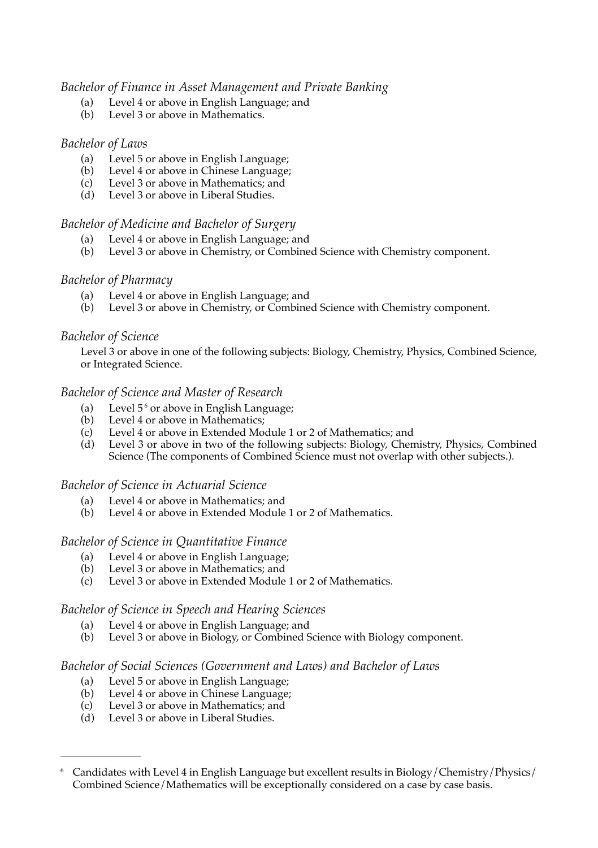## *Bachelor of Finance in Asset Management and Private Banking*

- (a) Level 4 or above in English Language; and
- (b) Level 3 or above in Mathematics.

## *Bachelor of Laws*

- (a) Level 5 or above in English Language;
- (b) Level 4 or above in Chinese Language;
- (c) Level 3 or above in Mathematics; and
- (d) Level 3 or above in Liberal Studies.

## *Bachelor of Medicine and Bachelor of Surgery*

- (a) Level 4 or above in English Language; and
- (b) Level 3 or above in Chemistry, or Combined Science with Chemistry component.

## *Bachelor of Pharmacy*

- (a) Level 4 or above in English Language; and
- (b) Level 3 or above in Chemistry, or Combined Science with Chemistry component.

## *Bachelor of Science*

 Level 3 or above in one of the following subjects: Biology, Chemistry, Physics, Combined Science, or Integrated Science.

## *Bachelor of Science and Master of Research*

- (a) Level  $5<sup>6</sup>$  or above in English Language;
- (b) Level 4 or above in Mathematics;
- (c) Level 4 or above in Extended Module 1 or 2 of Mathematics; and
- (d) Level 3 or above in two of the following subjects: Biology, Chemistry, Physics, Combined Science (The components of Combined Science must not overlap with other subjects.).

## *Bachelor of Science in Actuarial Science*

- (a) Level 4 or above in Mathematics; and
- (b) Level 4 or above in Extended Module 1 or 2 of Mathematics.

## *Bachelor of Science in Quantitative Finance*

- (a) Level 4 or above in English Language;
- (b) Level 3 or above in Mathematics; and
- (c) Level 3 or above in Extended Module 1 or 2 of Mathematics.

## *Bachelor of Science in Speech and Hearing Sciences*

- (a) Level 4 or above in English Language; and
- (b) Level 3 or above in Biology, or Combined Science with Biology component.

## *Bachelor of Social Sciences (Government and Laws) and Bachelor of Laws*

- (a) Level 5 or above in English Language;
- (b) Level 4 or above in Chinese Language;
- (c) Level 3 or above in Mathematics; and
- (d) Level 3 or above in Liberal Studies.

<sup>6</sup>Candidates with Level 4 in English Language but excellent results in Biology/Chemistry/Physics/ Combined Science/Mathematics will be exceptionally considered on a case by case basis.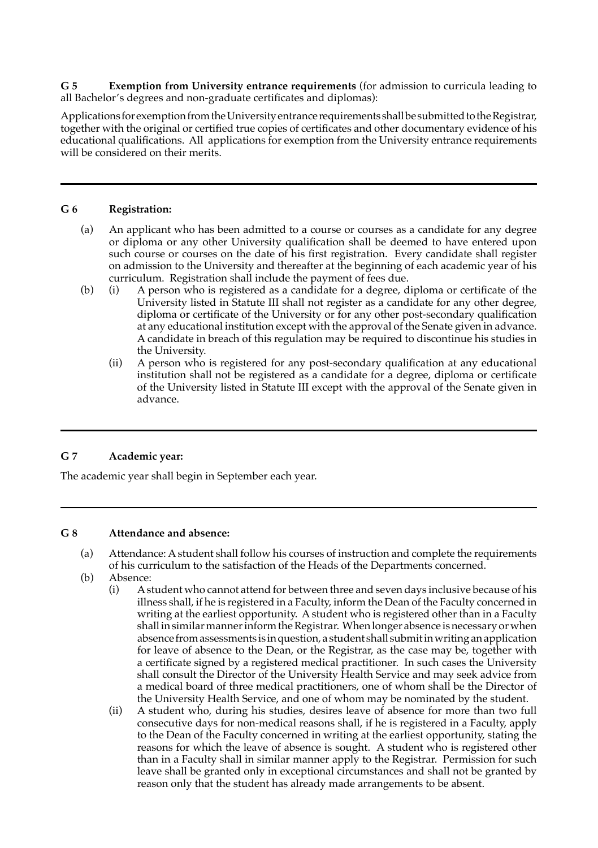**G 5 Exemption from University entrance requirements** (for admission to curricula leading to all Bachelor's degrees and non-graduate certificates and diplomas):

 Applications forexemptionfrom theUniversityentrance requirements shall be submitted to theRegistrar, together with the original or certified true copies of certificates and other documentary evidence of his educational qualifications. All applications for exemption from the University entrance requirements will be considered on their merits. 

## **G 6 Registration:**

- (a) An applicant who has been admitted to a course or courses as a candidate for any degree or diploma or any other University qualification shall be deemed to have entered upon such course or courses on the date of his first registration. Every candidate shall register on admission to the University and thereafter at the beginning of each academic year of his curriculum. Registration shall include the payment of fees due.  $(a)$
- (b) (i) A person who is registered as a candidate for a degree, diploma or certificate of the University listed in Statute III shall not register as a candidate for any other degree, diploma or certificate of the University or for any other post-secondary qualification at any educational institution except with the approval of the Senate given in advance. A candidate in breach of this regulation may be required to discontinue his studies in  $(b)$  the University.
	- (ii) A person who is registered for any post-secondary qualification at any educational institution shall not be registered as a candidate for a degree, diploma or certificate of the University listed in Statute III except with the approval of the Senate given in advance.

#### **G 7 Academic year:**

 The academic year shall begin in September each year.

#### **G 8 Attendance and absence:**

- (a) Attendance: Astudent shall follow his courses of instruction and complete the requirements of his curriculum to the satisfaction of the Heads of the Departments concerned.
- (b) Absence:
	- (i) Astudent who cannot attend for between three and seven days inclusive because of his illness shall, if he is registered in a Faculty, inform the Dean of the Faculty concerned in writing at the earliest opportunity. Astudent who is registered other than in a Faculty shall in similar manner inform the Registrar. When longer absence is necessary or when absence fromassessments is in question, astudent shall submitinwritingan application for leave of absence to the Dean, or the Registrar, as the case may be, together with a certificate signed by a registered medical practitioner. In such cases the University shall consult the Director of the University Health Service and may seek advice from a medical board of three medical practitioners, one of whom shall be the Director of the University Health Service, and one of whom may be nominated by the student.
	- (ii) A student who, during his studies, desires leave of absence for more than two full consecutive days for non-medical reasons shall, if he is registered in a Faculty, apply to the Dean of the Faculty concerned in writing at the earliest opportunity, stating the reasons for which the leave of absence is sought. A student who is registered other than in a Faculty shall in similar manner apply to the Registrar. Permission for such leave shall be granted only in exceptional circumstances and shall not be granted by reason only that the student has already made arrangements to be absent.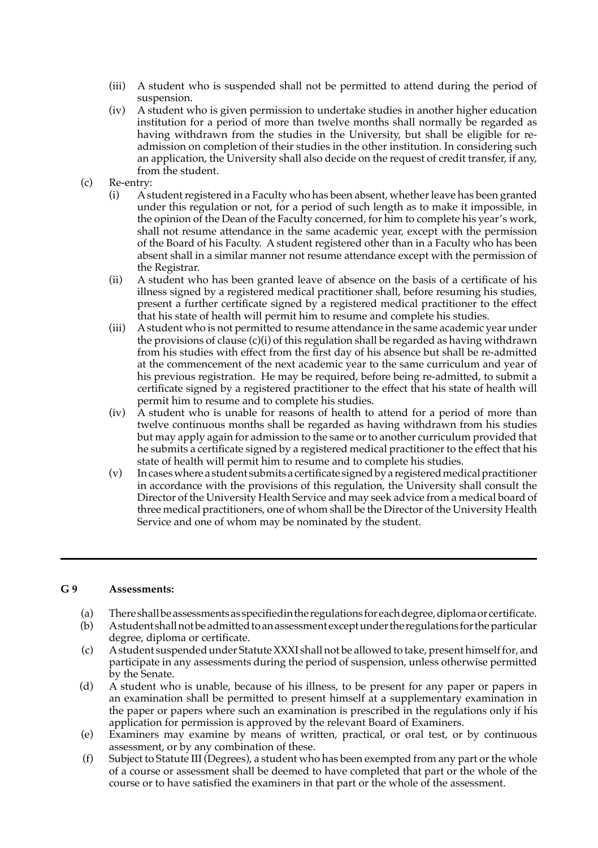- (iii) A student who is suspended shall not be permitted to attend during the period of suspension.
- (iv) A student who is given permission to undertake studies in another higher education institution for a period of more than twelve months shall normally be regarded as having withdrawn from the studies in the University, but shall be eligible for re- admission on completion of their studies in the other institution. In considering such an application, the University shall also decide on the request of credit transfer, if any, from the student.
- (c) Re-entry:<br>(i)  $As$ 
	- (i) A student registered in a Faculty who has been absent, whether leave has been granted under this regulation or not, for a period of such length as to make it impossible, in the opinion of the Dean of the Faculty concerned, for him to complete his year's work, shall not resume attendance in the same academic year, except with the permission of the Board of his Faculty. A student registered other than in a Faculty who has been absent shall in a similar manner not resume attendance except with the permission of the Registrar.
	- (ii) A student who has been granted leave of absence on the basis of a certificate of his illness signed by a registered medical practitioner shall, before resuming his studies, present a further certificate signed by a registered medical practitioner to the effect that his state of health will permit him to resume and complete his studies.  $(ii)$
	- (iii) Astudent who is not permitted to resume attendance in the same academic year under the provisions of clause (c)(i) of this regulation shall be regarded as having withdrawn from his studies with effect from the first day of his absence but shall be re-admitted at the commencement of the next academic year to the same curriculum and year of his previous registration. He may be required, before being re-admitted, to submit a certificate signed by a registered practitioner to the effect that his state of health will permit him to resume and to complete his studies.  $(iii)$
	- (iv) A student who is unable for reasons of health to attend for a period of more than twelve continuous months shall be regarded as having withdrawn from his studies but may apply again for admission to the same or to another curriculum provided that he submits a certificate signed by a registered medical practitioner to the effect that his state of health will permit him to resume and to complete his studies.
	- (v) In cases where a student submits a certificate signed by a registered medical practitioner in accordance with the provisions of this regulation, the University shall consult the Director of the University Health Service and may seek advice from a medical board of three medical practitioners, one of whom shall be the Director of the University Health Service and one of whom may be nominated by the student.  $(v)$

#### **G 9 Assessments:**

- (a) Thereshallbeassessmentsas specifiedintheregulations foreachdegree,diplomaor certificate.
- degree, diploma or certificate. (b) Astudent shall not be admitted to an assessment except under the regulations for the particular
- (c) Astudent suspended under Statute XXXI shall not be allowed to take, present himself for, and participate in any assessments during the period of suspension, unless otherwise permitted<br>by the Senate. the
- A student who is unable, because of his illness, to be present for any paper or papers in (d) A student who is unable, because of his illness, to be present for any paper or papers in an examination shall be permitted to present himself at a supplementary examination in the paper or papers where such an examina paper or papers where such an examination is prescribed in the regulations only if his for permission is approved by the relevant Board of Examiners.
- (e) Examiners may examine by means of written, practical, or oral test, or by continuous assessment, or by anycombination of these.
- Subject to Statute III (Degrees), a student who has been exempted from any part or the whole (f) Subject to Statute III (Degrees), a student who has been exempted from any part or the whole<br>of a course or assessment shall be deemed to have completed that part or the whole of the<br>course or to have satisfied the exa or to have satisfied the examiners in that part or the whole of the  $(f)$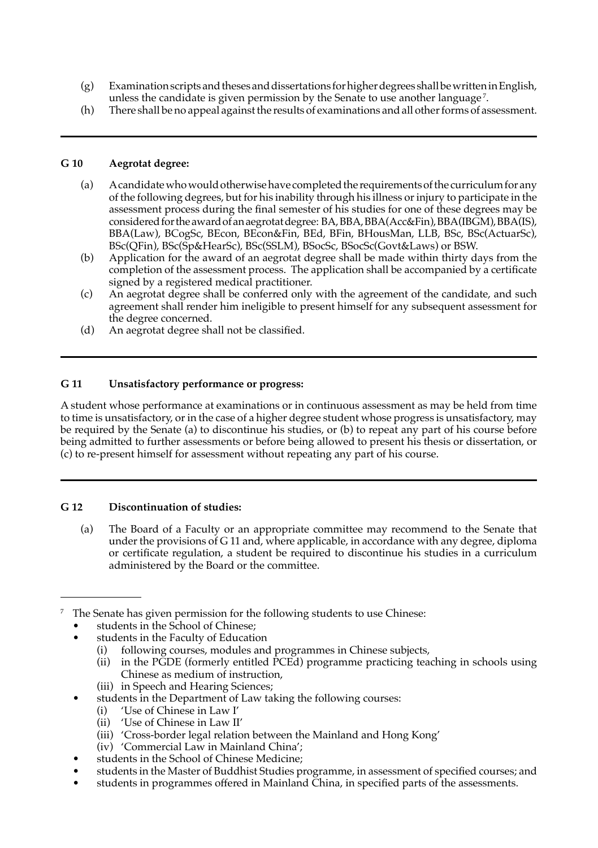- (g) Examination scripts and theses and dissertations for higher degrees shall be written in English, unless the candidate is given permission by the Senate to use another language<sup>7</sup>.
- (h) There shall be no appeal against the results of examinations and all other forms of assessment.  $(h)$

#### **G 10 Aegrotat degree:**

- (a) Acandidatewhowould otherwise have completed the requirements of the curriculum for any of the following degrees, but for his inability through his illness orinjury to participate in the assessment process during the final semester of his studies for one of these degrees may be considered for the award of an aegrotatdegree: BA,BBA,BBA(Acc&Fin),BBA(IBGM),BBA(IS), BBA(Law), BCogSc, BEcon, BEcon&Fin, BEd, BFin, BHousMan, LLB, BSc, BSc(ActuarSc), BSc(QFin), BSc(Sp&HearSc), BSc(SSLM), BSocSc, BSocSc(Govt&Laws) or BSW.
- (b) Application for the award of an aegrotat degree shall be made within thirty days from the completion of the assessment process. The application shall be accompanied by a certificate signed by a registered medical practitioner.
- (c) An aegrotat degree shall be conferred only with the agreement of the candidate, and such agreement shall render him ineligible to present himself for any subsequent assessment for the degree concerned.  $(c)$
- (d) An aegrotat degree shall not be classified.  $(d)$

#### **G 11 Unsatisfactory performance or progress:**

 A student whose performance at examinations or in continuous assessment as may be held from time to time is unsatisfactory, or in the case of a higher degree student whose progress is unsatisfactory, may be required by the Senate (a) to discontinue his studies, or (b) to repeat any part of his course before being admitted to further assessments or before being allowed to present his thesis or dissertation, or (c) to re-present himself for assessment without repeating any part of his course.

#### **G 12 Discontinuation of studies:**

 (a) The Board of a Faculty or an appropriate committee may recommend to the Senate that under the provisions of G 11 and, where applicable, in accordance with any degree, diploma or certificate regulation, a student be required to discontinue his studies in a curriculum administered by the Board or the committee. $(a)$ 

 $7$  The Senate has given permission for the following students to use Chinese:

- students in the School of Chinese:
- students in the Faculty of Education
	- (i) following courses, modules and programmes in Chinese subjects,
	- (ii) in the PGDE (formerly entitled  $\hat{PCEd}$ ) programme practicing teaching in schools using Chinese as medium of instruction,
	- (iii) in Speech and Hearing Sciences;
- students in the Department of Law taking the following courses:
	- (i) 'Use of Chinese in Law I'
	- (ii) 'Use of Chinese in Law II'
	- (iii) 'Cross-border legal relation between the Mainland and Hong Kong'
	- (iv) 'Commercial Law in Mainland China';
- students in the School of Chinese Medicine;
- students in the Master of Buddhist Studies programme, in assessment of specified courses; and
- students in programmes offered in Mainland China, in specified parts of the assessments.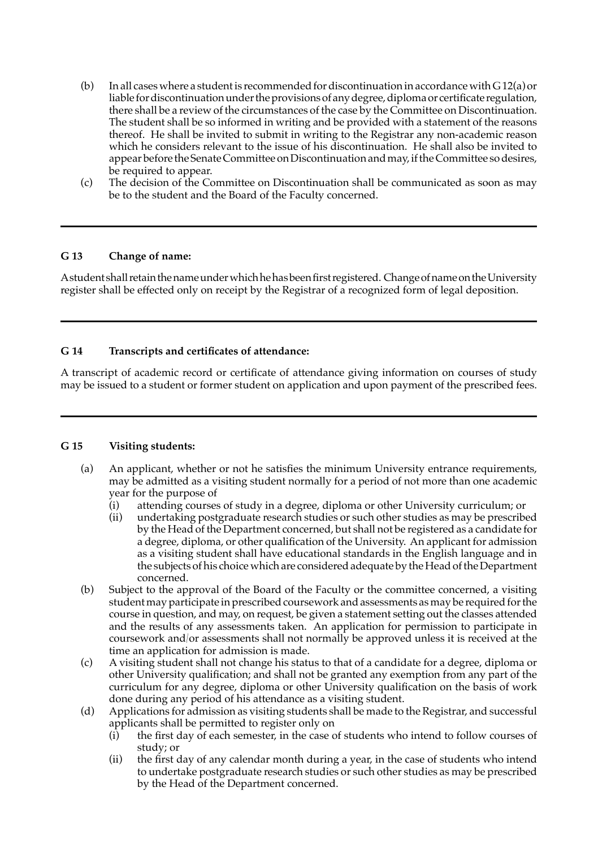- (b) In all cases where a student is recommended for discontinuation in accordance with  $G12(a)$  or liable for discontinuation under the provisions of any degree, diploma or certificate regulation, there shall be a review of the circumstances of the case by the Committee on Discontinuation. The student shall be so informed in writing and be provided with a statement of the reasons thereof. He shall be invited to submit in writing to the Registrar any non-academic reason which he considers relevant to the issue of his discontinuation. He shall also be invited to appear before the Senate Committee on Discontinuation and may, if the Committee so desires, be required to appear.  $(b)$
- (c) The decision of the Committee on Discontinuation shall be communicated as soon as may be to the student and the Board of the Faculty concerned.  $(c)$

## **G 13 Change of name:**

 Astudent shall retain thenameunderwhichhehas beenfirst registered. Change ofname on theUniversity register shall be effected only on receipt by the Registrar of a recognized form of legal deposition.

#### **G 14 Transcripts and certificates of attendance:**

 A transcript of academic record or certificate of attendance giving information on courses of study may be issued to a student or former student on application and upon payment of the prescribed fees.

## **G 15 Visiting students:**

- (a) An applicant, whether or not he satisfies the minimum University entrance requirements, may be admitted as a visiting student normally for a period of not more than one academic year for the purpose of  $(a)$ 
	- (i) attending courses of study in a degree, diploma or other University curriculum; or
	- (ii) undertaking postgraduate research studies or such other studies as may be prescribed by the Head of the Department concerned, but shall not be registered as a candidate for a degree, diploma, or other qualification of the University. An applicant for admission the subjects of his choice which are considered adequate by the Head of the Department as a visiting student shall have educational standards in the English language and in concerned.
- (b) Subject to the approval of the Board of the Faculty or the committee concerned, a visiting student may participate in prescribed coursework and assessments as may be required for the course in question, and may, on request, be given a statement setting out the classes attended and the results of any assessments taken. An application for permission to participate in coursework and/or assessments shall not normally be approved unless it is received at the time an application for admission is made.  $(h)$
- (c) A visiting student shall not change his status to that of a candidate for a degree, diploma or other University qualification; and shall not be granted any exemption from any part of the curriculum for any degree, diploma or other University qualification on the basis of work done during any period of his attendance as a visiting student.  $(c)$
- (d) Applications for admission as visiting students shall be made to the Registrar, and successful applicants shall be permitted to register only on
	- (i) the first day of each semester, in the case of students who intend to follow courses of  $(i)$ study; or
	- (ii) the first day of any calendar month during a year, in the case of students who intend to undertake postgraduate research studies or such other studies as may be prescribed by the Head of the Department concerned.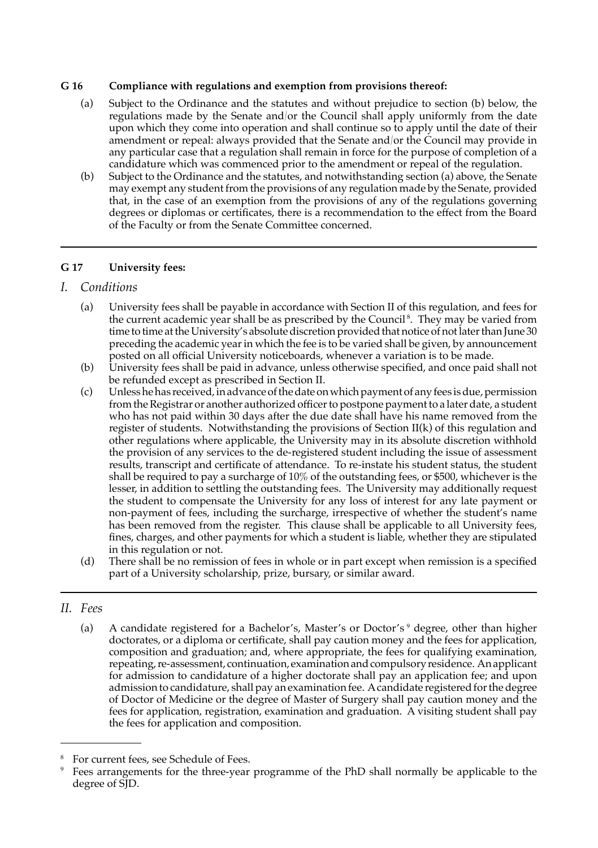#### **G 16 Compliance with regulations and exemption from provisions thereof:**

- (a) Subject to the Ordinance and the statutes and without prejudice to section (b) below, the regulations made by the Senate and/or the Council shall apply uniformly from the date upon which they come into operation and shall continue so to apply until the date of their amendment or repeal: always provided that the Senate and/or the Council may provide in any particular case that a regulation shall remain in force for the purpose of completion of a candidature which was commenced prior to the amendment or repeal of the regulation.
- (b) Subject to the Ordinance and the statutes, and notwithstanding section (a) above, the Senate may exempt any student from the provisions of any regulation made by the Senate, provided that, in the case of an exemption from the provisions of any of the regulations governing degrees or diplomas or certificates, there is a recommendation to the effect from the Board of the Faculty or from the Senate Committee concerned.  $(b)$

## **G 17 University fees:**

## *I. Conditions*

- (a) University fees shall be payable in accordance with Section II of this regulation, and fees for the current academic year shall be as prescribed by the Council<sup>8</sup>. They may be varied from time to time at the University's absolute discretion provided that notice of not later than June 30 preceding the academic year in which the fee is to be varied shall be given, by announcement posted on all official University noticeboards, whenever a variation is to be made.
- (b) University fees shall be paid in advance, unless otherwise specified, and once paid shall not be refunded except as prescribed in Section II.
- (c) Unlesshehas received,inadvanceofthedateonwhichpaymentof anyfees isdue,permission from the Registrar or another authorized officer to postpone payment to a later date, a student who has not paid within 30 days after the due date shall have his name removed from the register of students. Notwithstanding the provisions of Section II(k) of this regulation and other regulations where applicable, the University may in its absolute discretion withhold the provision of any services to the de-registered student including the issue of assessment results, transcript and certificate of attendance. To re-instate his student status, the student shall be required to pay a surcharge of 10% of the outstanding fees, or \$500, whichever is the lesser, in addition to settling the outstanding fees. The University may additionally request the student to compensate the University for any loss of interest for any late payment or non-payment of fees, including the surcharge, irrespective of whether the student's name has been removed from the register. This clause shall be applicable to all University fees, fines, charges, and other payments for which a student is liable, whether they are stipulated in this regulation or not.  $(c)$
- (d) There shall be no remission of fees in whole or in part except when remission is a specified part of a University scholarship, prize, bursary, or similar award.  $(d)$

## *II. Fees*

(a) A candidate registered for a Bachelor's, Master's or Doctor's<sup>9</sup> degree, other than higher doctorates, or a diploma or certificate, shall pay caution money and the fees for application, composition and graduation; and, where appropriate, the fees for qualifying examination, repeating,re-assessment, continuation, examinationandcompulsoryresidence. Anapplicant for admission to candidature of a higher doctorate shall pay an application fee; and upon admission to candidature, shall pay an examination fee. A candidate registered for the degree of Doctor of Medicine or the degree of Master of Surgery shall pay caution money and the fees for application, registration, examination and graduation. A visiting student shall pay the fees for application and composition. 

<sup>8</sup> For current fees, see Schedule of Fees.

<sup>9</sup>Fees arrangements for the three-year programme of the PhD shall normally be applicable to the degree of  $\text{S}$ D.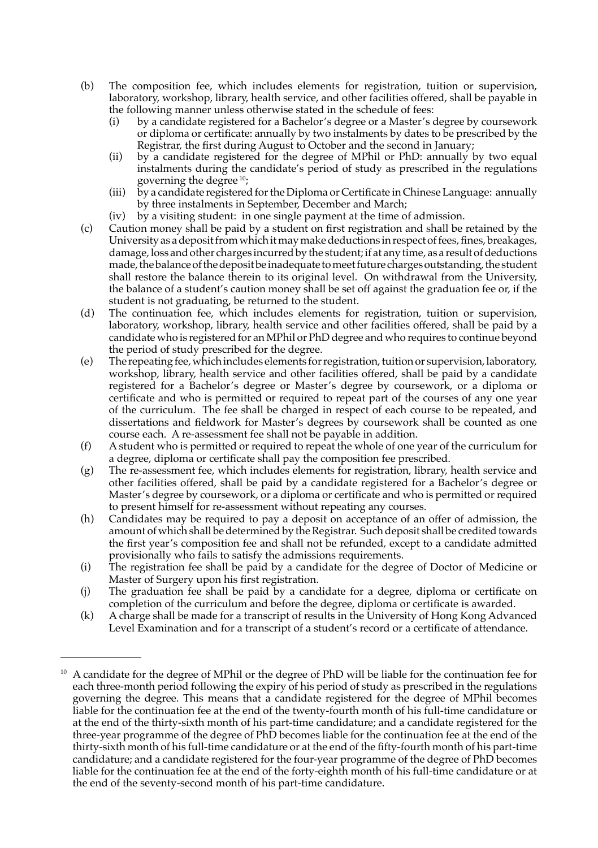- (b) The composition fee, which includes elements for registration, tuition or supervision, laboratory, workshop, library, health service, and other facilities offered, shall be payable in the following manner unless otherwise stated in the schedule of fees:
	- (i) by a candidate registered for a Bachelor's degree or a Master's degree by coursework or diploma or certificate: annually by two instalments by dates to be prescribed by the Registrar, the first during August to October and the second in January;
	- (ii) by a candidate registered for the degree of MPhil or PhD: annually by two equal instalments during the candidate's period of study as prescribed in the regulations governing the degree 10;
	- (iii) by a candidate registered forthe Diploma or Certificate in Chinese Language: annually by three instalments in September, December and March;
	- (iv) by a visiting student: in one single payment at the time of admission.  $(iv)$
- (c) Caution money shall be paid by a student on first registration and shall be retained by the University as a deposit from which it may make deductions in respect of fees, fines, breakages, damage, loss and other charges incurred by the student; if at any time, as a result of deductions made, the balance of the deposit be inadequate to meet future charges outstanding, the student shall restore the balance therein to its original level. On withdrawal from the University, the balance of a student's caution money shall be set off against the graduation fee or, if the student is not graduating, be returned to the student.  $(c)$
- (d) The continuation fee, which includes elements for registration, tuition or supervision, laboratory, workshop, library, health service and other facilities offered, shall be paid by a candidate who is registered for an MPhil or PhD degree and who requires to continue beyond the period of study prescribed for the degree.  $(d)$
- (e) The repeating fee, whichincludes elements forregistration,tuitionor supervision,laboratory, workshop, library, health service and other facilities offered, shall be paid by a candidate registered for a Bachelor's degree or Master's degree by coursework, or a diploma or certificate and who is permitted or required to repeat part of the courses of any one year of the curriculum. The fee shall be charged in respect of each course to be repeated, and dissertations and fieldwork for Master's degrees by coursework shall be counted as one course each. A re-assessment fee shall not be payable in addition.  $(e)$
- (f) Astudent who is permitted or required to repeat the whole of one year of the curriculum for a degree, diploma or certificate shall pay the composition fee prescribed.  $(f)$
- (g) The re-assessment fee, which includes elements for registration, library, health service and other facilities offered, shall be paid by a candidate registered for a Bachelor's degree or Master's degree by coursework, or a diploma or certificate and who is permitted or required to present himself for re-assessment without repeating any courses.  $(g)$
- (h) Candidates may be required to pay a deposit on acceptance of an offer of admission, the amount of which shall be determined by the Registrar. Such deposit shall be credited towards the first year's composition fee and shall not be refunded, except to a candidate admitted provisionally who fails to satisfy the admissions requirements.
- (i) The registration fee shall be paid by a candidate for the degree of Doctor of Medicine or Master of Surgery upon his first registration.  $(i)$
- (j) The graduation fee shall be paid by a candidate for a degree, diploma or certificate on completion of the curriculum and before the degree, diploma or certificate is awarded.
- (k) A charge shall be made for a transcript of results in the University of Hong Kong Advanced Level Examination and for a transcript of a student's record or a certificate of attendance.  $(k)$

 $10$  A candidate for the degree of MPhil or the degree of PhD will be liable for the continuation fee for each three-month period following the expiry of his period of study as prescribed in the regulations governing the degree. This means that a candidate registered for the degree of MPhil becomes liable for the continuation fee at the end of the twenty-fourth month of his full-time candidature or at the end of the thirty-sixth month of his part-time candidature; and a candidate registered for the three-year programme of the degree of PhD becomes liable for the continuation fee at the end of the thirty-sixth month of his full-time candidature or at the end of the fifty-fourth month of his part-time candidature; and a candidate registered for the four-year programme of the degree of PhD becomes liable for the continuation fee at the end of the forty-eighth month of his full-time candidature or at the end of the seventy-second month of his part-time candidature.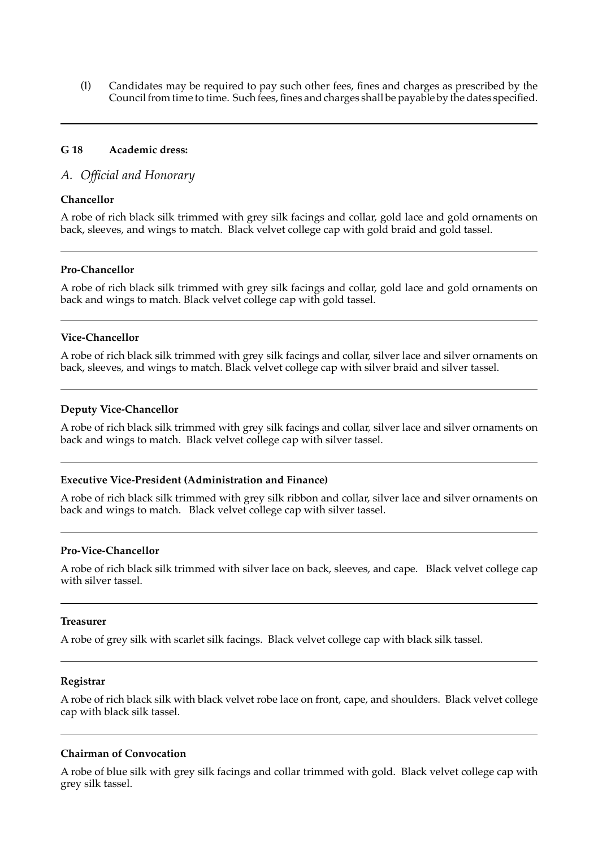(l) Candidates may be required to pay such other fees, fines and charges as prescribed by the Council from time to time. Such fees, fines and charges shall be payable by the dates specified.

#### **G 18 Academic dress:**

#### *A. Official and Honorary*

#### **Chancellor**

 A robe of rich black silk trimmed with grey silk facings and collar, gold lace and gold ornaments on back, sleeves, and wings to match. Black velvet college cap with gold braid and gold tassel.

#### **Pro-Chancellor**

 A robe of rich black silk trimmed with grey silk facings and collar, gold lace and gold ornaments on back and wings to match. Black velvet college cap with gold tassel.

#### **Vice-Chancellor**

 A robe of rich black silk trimmed with grey silk facings and collar, silver lace and silver ornaments on back, sleeves, and wings to match. Black velvet college cap with silver braid and silver tassel.

#### **Deputy Vice-Chancellor**

 A robe of rich black silk trimmed with grey silk facings and collar, silver lace and silver ornaments on back and wings to match. Black velvet college cap with silver tassel.

#### **Executive Vice-President (Administration and Finance)**

 A robe of rich black silk trimmed with grey silk ribbon and collar, silver lace and silver ornaments on back and wings to match. Black velvet college cap with silver tassel.

#### **Pro-Vice-Chancellor**

 A robe of rich black silk trimmed with silver lace on back, sleeves, and cape. Black velvet college cap with silver tassel.

#### **Treasurer**

 A robe of grey silk with scarlet silk facings. Black velvet college cap with black silk tassel.

#### **Registrar**

 A robe of rich black silk with black velvet robe lace on front, cape, and shoulders. Black velvet college cap with black silk tassel.

#### **Chairman of Convocation**

 A robe of blue silk with grey silk facings and collar trimmed with gold. Black velvet college cap with grey silk tassel.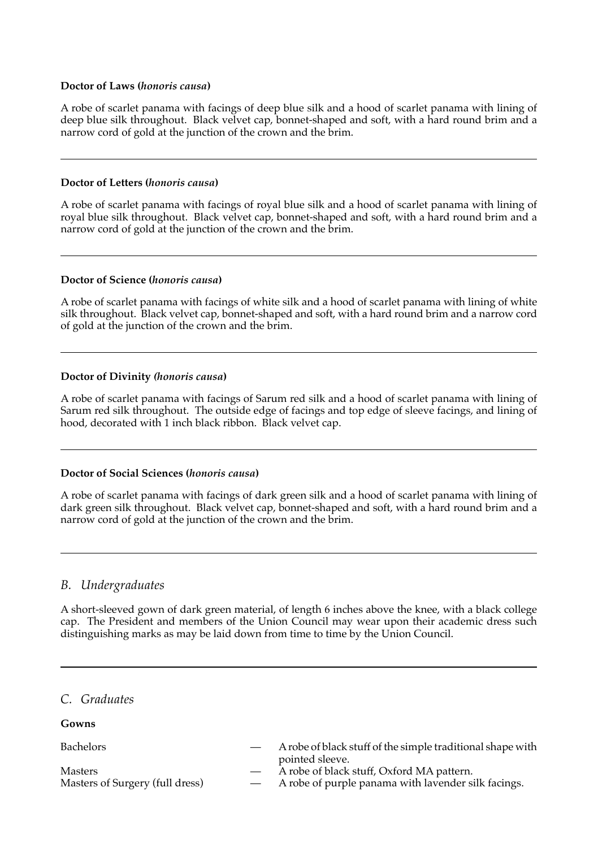#### **Doctor of Laws (***honoris causa***)**

 A robe of scarlet panama with facings of deep blue silk and a hood of scarlet panama with lining of deep blue silk throughout. Black velvet cap, bonnet-shaped and soft, with a hard round brim and a narrow cord of gold at the junction of the crown and the brim.

#### **Doctor of Letters (***honoris causa***)**

 A robe of scarlet panama with facings of royal blue silk and a hood of scarlet panama with lining of royal blue silk throughout. Black velvet cap, bonnet-shaped and soft, with a hard round brim and a narrow cord of gold at the junction of the crown and the brim.

#### **Doctor of Science (***honoris causa***)**

 A robe of scarlet panama with facings of white silk and a hood of scarlet panama with lining of white silk throughout. Black velvet cap, bonnet-shaped and soft, with a hard round brim and a narrow cord of gold at the junction of the crown and the brim.

#### **Doctor of Divinity** *(honoris causa***)**

 A robe of scarlet panama with facings of Sarum red silk and a hood of scarlet panama with lining of Sarum red silk throughout. The outside edge of facings and top edge of sleeve facings, and lining of hood, decorated with 1 inch black ribbon. Black velvet cap.

#### **Doctor of Social Sciences (***honoris causa***)**

 A robe of scarlet panama with facings of dark green silk and a hood of scarlet panama with lining of dark green silk throughout. Black velvet cap, bonnet-shaped and soft, with a hard round brim and a narrow cord of gold at the junction of the crown and the brim.

## *B. Undergraduates*

 A short-sleeved gown of dark green material, of length 6 inches above the knee, with a black college cap. The President and members of the Union Council may wear upon their academic dress such distinguishing marks as may be laid down from time to time by the Union Council.

*C. Graduates*

**Gowns** 

| <b>Bachelors</b>                | A robe of black stuff of the simple traditional shape with |
|---------------------------------|------------------------------------------------------------|
|                                 | pointed sleeve.                                            |
| Masters                         | A robe of black stuff, Oxford MA pattern.                  |
| Masters of Surgery (full dress) | A robe of purple panama with lavender silk facings.        |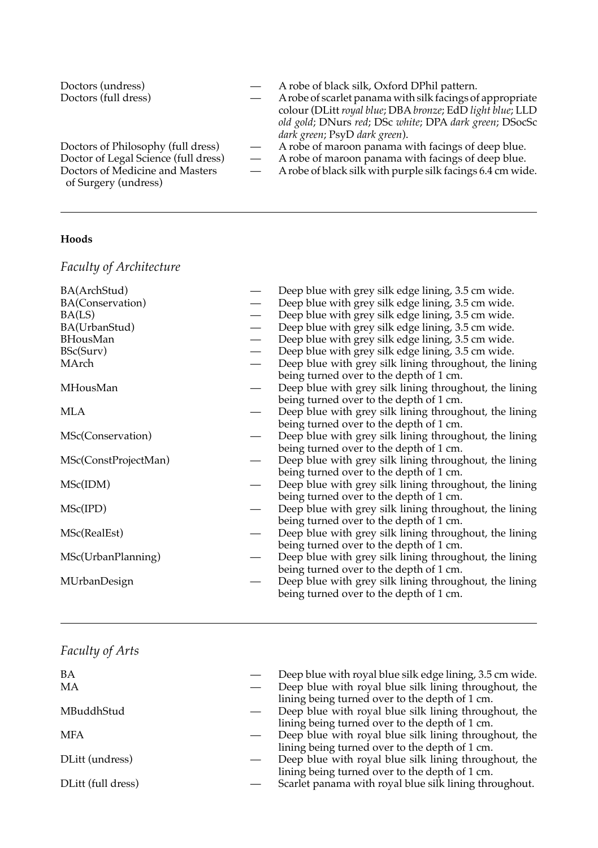| Doctors (undress)                    | A robe of black silk, Oxford DPhil pattern.                |
|--------------------------------------|------------------------------------------------------------|
| Doctors (full dress)                 | A robe of scarlet panama with silk facings of appropriate  |
|                                      | colour (DLitt royal blue; DBA bronze; EdD light blue; LLD  |
|                                      | old gold; DNurs red; DSc white; DPA dark green; DSocSc     |
|                                      | dark green; PsyD dark green).                              |
| Doctors of Philosophy (full dress)   | A robe of maroon panama with facings of deep blue.         |
| Doctor of Legal Science (full dress) | A robe of maroon panama with facings of deep blue.         |
| Doctors of Medicine and Masters      | A robe of black silk with purple silk facings 6.4 cm wide. |
| of Surgery (undress)                 |                                                            |

## **Hoods**

*Faculty of Architecture*

| BA(ArchStud)         | Deep blue with grey silk edge lining, 3.5 cm wide.     |
|----------------------|--------------------------------------------------------|
| BA(Conservation)     | Deep blue with grey silk edge lining, 3.5 cm wide.     |
| BA(LS)               | Deep blue with grey silk edge lining, 3.5 cm wide.     |
| BA(UrbanStud)        | Deep blue with grey silk edge lining, 3.5 cm wide.     |
| <b>BHousMan</b>      | Deep blue with grey silk edge lining, 3.5 cm wide.     |
| BSc(Surv)            | Deep blue with grey silk edge lining, 3.5 cm wide.     |
| MArch                | Deep blue with grey silk lining throughout, the lining |
|                      | being turned over to the depth of 1 cm.                |
| MHousMan             | Deep blue with grey silk lining throughout, the lining |
|                      | being turned over to the depth of 1 cm.                |
| MLA                  | Deep blue with grey silk lining throughout, the lining |
|                      | being turned over to the depth of 1 cm.                |
| MSc(Conservation)    | Deep blue with grey silk lining throughout, the lining |
|                      | being turned over to the depth of 1 cm.                |
| MSc(ConstProjectMan) | Deep blue with grey silk lining throughout, the lining |
|                      | being turned over to the depth of 1 cm.                |
| MSc(IDM)             | Deep blue with grey silk lining throughout, the lining |
|                      | being turned over to the depth of 1 cm.                |
| MSc(IPD)             | Deep blue with grey silk lining throughout, the lining |
|                      | being turned over to the depth of 1 cm.                |
| MSc(RealEst)         | Deep blue with grey silk lining throughout, the lining |
|                      | being turned over to the depth of 1 cm.                |
| MSc(UrbanPlanning)   | Deep blue with grey silk lining throughout, the lining |
|                      | being turned over to the depth of 1 cm.                |
| MUrbanDesign         | Deep blue with grey silk lining throughout, the lining |
|                      | being turned over to the depth of 1 cm.                |
|                      |                                                        |

## *Faculty of Arts*

| BA<br>МA           | Deep blue with royal blue silk edge lining, 3.5 cm wide.<br>Deep blue with royal blue silk lining throughout, the |
|--------------------|-------------------------------------------------------------------------------------------------------------------|
| MBuddhStud         | lining being turned over to the depth of 1 cm.<br>Deep blue with royal blue silk lining throughout, the           |
| MFA                | lining being turned over to the depth of 1 cm.<br>Deep blue with royal blue silk lining throughout, the           |
|                    | lining being turned over to the depth of 1 cm.                                                                    |
| DLitt (undress)    | Deep blue with royal blue silk lining throughout, the<br>lining being turned over to the depth of 1 cm.           |
| DLitt (full dress) | Scarlet panama with royal blue silk lining throughout.                                                            |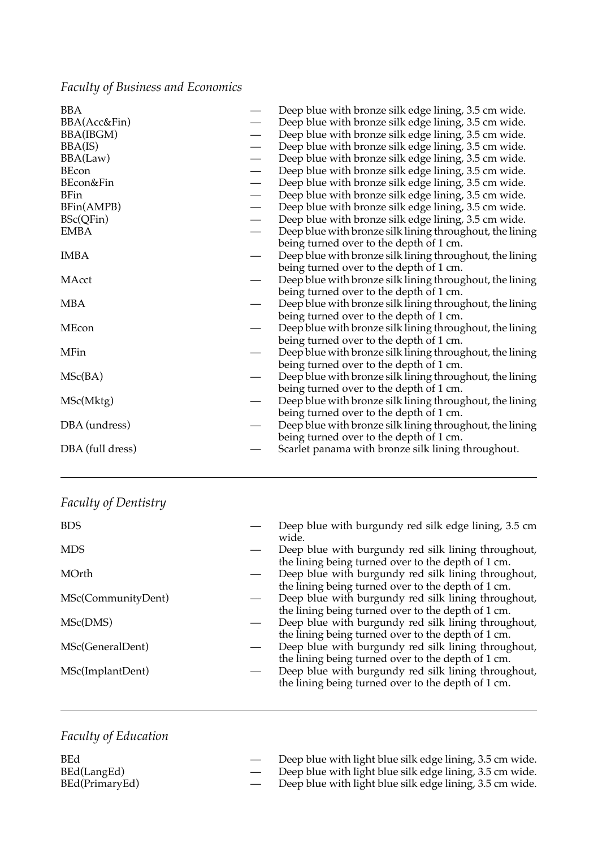## *Faculty of Business and Economics*

| BBA              |                          | Deep blue with bronze silk edge lining, 3.5 cm wide.     |
|------------------|--------------------------|----------------------------------------------------------|
| BBA(Acc&Fin)     |                          | Deep blue with bronze silk edge lining, 3.5 cm wide.     |
| BBA(IBGM)        |                          | Deep blue with bronze silk edge lining, 3.5 cm wide.     |
| BBA(IS)          | $\overline{\phantom{0}}$ | Deep blue with bronze silk edge lining, 3.5 cm wide.     |
| BBA(Law)         |                          | Deep blue with bronze silk edge lining, 3.5 cm wide.     |
| <b>BEcon</b>     |                          | Deep blue with bronze silk edge lining, 3.5 cm wide.     |
| BEcon&Fin        |                          | Deep blue with bronze silk edge lining, 3.5 cm wide.     |
| <b>BFin</b>      |                          | Deep blue with bronze silk edge lining, 3.5 cm wide.     |
| BFin(AMPB)       |                          | Deep blue with bronze silk edge lining, 3.5 cm wide.     |
| BSc(QFin)        |                          | Deep blue with bronze silk edge lining, 3.5 cm wide.     |
| <b>EMBA</b>      |                          | Deep blue with bronze silk lining throughout, the lining |
|                  |                          | being turned over to the depth of 1 cm.                  |
| <b>IMBA</b>      |                          | Deep blue with bronze silk lining throughout, the lining |
|                  |                          | being turned over to the depth of 1 cm.                  |
| MAcct            |                          | Deep blue with bronze silk lining throughout, the lining |
|                  |                          | being turned over to the depth of 1 cm.                  |
| <b>MBA</b>       |                          | Deep blue with bronze silk lining throughout, the lining |
|                  |                          | being turned over to the depth of 1 cm.                  |
| MEcon            |                          | Deep blue with bronze silk lining throughout, the lining |
|                  |                          | being turned over to the depth of 1 cm.                  |
| MFin             |                          | Deep blue with bronze silk lining throughout, the lining |
|                  |                          | being turned over to the depth of 1 cm.                  |
| MSc(BA)          |                          | Deep blue with bronze silk lining throughout, the lining |
|                  |                          | being turned over to the depth of 1 cm.                  |
| MSc(Mktg)        |                          | Deep blue with bronze silk lining throughout, the lining |
|                  |                          | being turned over to the depth of 1 cm.                  |
| DBA (undress)    |                          | Deep blue with bronze silk lining throughout, the lining |
|                  |                          | being turned over to the depth of 1 cm.                  |
| DBA (full dress) |                          | Scarlet panama with bronze silk lining throughout.       |
|                  |                          |                                                          |

| Faculty of Dentistry |
|----------------------|
|                      |

| <b>BDS</b>         | Deep blue with burgundy red silk edge lining, 3.5 cm<br>wide.                                                                                                   |
|--------------------|-----------------------------------------------------------------------------------------------------------------------------------------------------------------|
| <b>MDS</b>         | Deep blue with burgundy red silk lining throughout,                                                                                                             |
| MOrth              | the lining being turned over to the depth of 1 cm.<br>Deep blue with burgundy red silk lining throughout,<br>the lining being turned over to the depth of 1 cm. |
| MSc(CommunityDent) | Deep blue with burgundy red silk lining throughout,                                                                                                             |
| MSc(DMS)           | the lining being turned over to the depth of 1 cm.<br>Deep blue with burgundy red silk lining throughout,<br>the lining being turned over to the depth of 1 cm. |
| MSc(GeneralDent)   | Deep blue with burgundy red silk lining throughout,                                                                                                             |
| MSc(ImplantDent)   | the lining being turned over to the depth of 1 cm.<br>Deep blue with burgundy red silk lining throughout,<br>the lining being turned over to the depth of 1 cm. |

## *Faculty of Education*

| <b>BEd</b>     | Deep blue with light blue silk edge lining, 3.5 cm wide. |
|----------------|----------------------------------------------------------|
| BEd(LangEd)    | Deep blue with light blue silk edge lining, 3.5 cm wide. |
| BEd(PrimaryEd) | Deep blue with light blue silk edge lining, 3.5 cm wide. |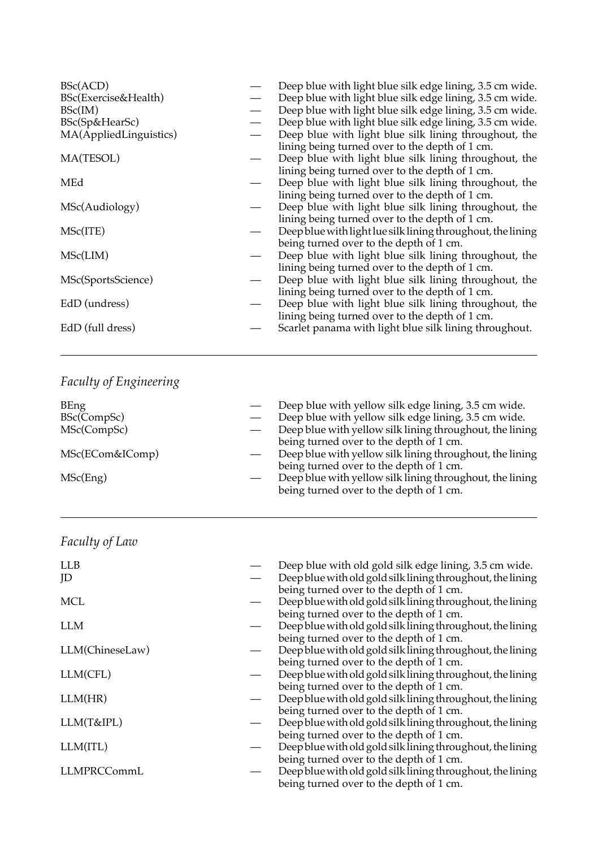| BSc(ACD)               | Deep blue with light blue silk edge lining, 3.5 cm wide.    |
|------------------------|-------------------------------------------------------------|
| BSc(Exercise&Health)   | Deep blue with light blue silk edge lining, 3.5 cm wide.    |
| BSc(IM)                | Deep blue with light blue silk edge lining, 3.5 cm wide.    |
| BSc(Sp&HearSc)         | Deep blue with light blue silk edge lining, 3.5 cm wide.    |
| MA(AppliedLinguistics) | Deep blue with light blue silk lining throughout, the       |
|                        | lining being turned over to the depth of 1 cm.              |
| MA(TESOL)              | Deep blue with light blue silk lining throughout, the       |
|                        | lining being turned over to the depth of 1 cm.              |
| MEd                    | Deep blue with light blue silk lining throughout, the       |
|                        | lining being turned over to the depth of 1 cm.              |
| MSc(Audiology)         | Deep blue with light blue silk lining throughout, the       |
|                        | lining being turned over to the depth of 1 cm.              |
| MSc(ITE)               | Deep blue with light lue silk lining throughout, the lining |
|                        | being turned over to the depth of 1 cm.                     |
| MSc(LIM)               | Deep blue with light blue silk lining throughout, the       |
|                        | lining being turned over to the depth of 1 cm.              |
| MSc(SportsScience)     | Deep blue with light blue silk lining throughout, the       |
|                        | lining being turned over to the depth of 1 cm.              |
| EdD (undress)          | Deep blue with light blue silk lining throughout, the       |
|                        | lining being turned over to the depth of 1 cm.              |
| EdD (full dress)       | Scarlet panama with light blue silk lining throughout.      |
|                        |                                                             |

# *Faculty of Engineering*

| BEng<br>BSc(CompSc)<br>MSc(CompSc) | Deep blue with yellow silk edge lining, 3.5 cm wide.<br>Deep blue with yellow silk edge lining, 3.5 cm wide.<br>Deep blue with yellow silk lining throughout, the lining<br>being turned over to the depth of 1 cm. |
|------------------------------------|---------------------------------------------------------------------------------------------------------------------------------------------------------------------------------------------------------------------|
| MSc(ECom&IComp)                    | Deep blue with yellow silk lining throughout, the lining<br>being turned over to the depth of 1 cm.                                                                                                                 |
| MSc(Eng)                           | Deep blue with yellow silk lining throughout, the lining<br>being turned over to the depth of 1 cm.                                                                                                                 |

| Faculty of Law |  |
|----------------|--|
|----------------|--|

| <b>LLB</b>      | Deep blue with old gold silk edge lining, 3.5 cm wide.     |
|-----------------|------------------------------------------------------------|
| JD              | Deep blue with old gold silk lining throughout, the lining |
|                 | being turned over to the depth of 1 cm.                    |
| <b>MCL</b>      | Deep blue with old gold silk lining throughout, the lining |
|                 | being turned over to the depth of 1 cm.                    |
| <b>LLM</b>      | Deep blue with old gold silk lining throughout, the lining |
|                 | being turned over to the depth of 1 cm.                    |
| LLM(ChineseLaw) | Deep blue with old gold silk lining throughout, the lining |
|                 | being turned over to the depth of 1 cm.                    |
| LLM(CFL)        | Deep blue with old gold silk lining throughout, the lining |
|                 | being turned over to the depth of 1 cm.                    |
| LLM(HR)         | Deep blue with old gold silk lining throughout, the lining |
|                 | being turned over to the depth of 1 cm.                    |
| LLM(T&IPL)      | Deep blue with old gold silk lining throughout, the lining |
|                 | being turned over to the depth of 1 cm.                    |
| LLM(ITL)        | Deep blue with old gold silk lining throughout, the lining |
|                 | being turned over to the depth of 1 cm.                    |
| LLMPRCCommL     | Deep blue with old gold silk lining throughout, the lining |
|                 | being turned over to the depth of 1 cm.                    |
|                 |                                                            |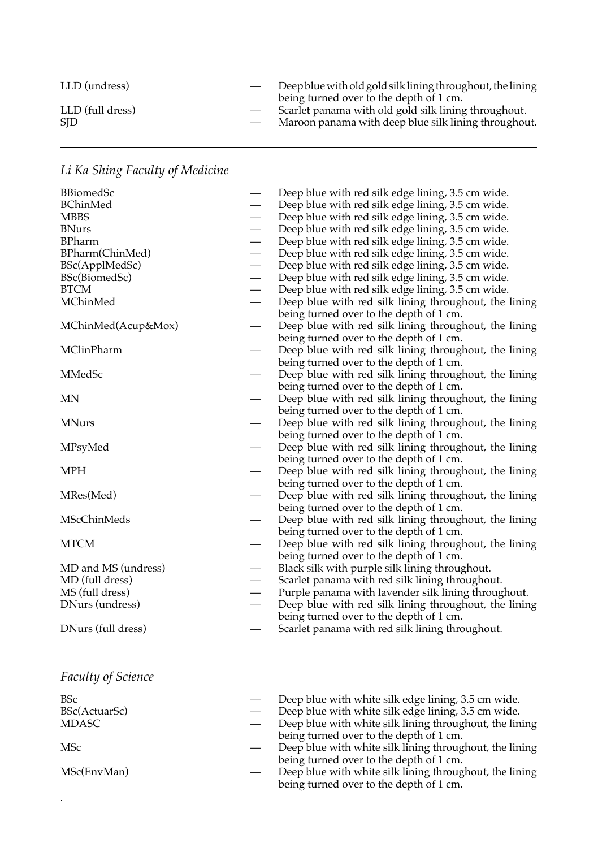| LLD (undress)            | Deep blue with old gold silk lining throughout, the lining<br>being turned over to the depth of 1 cm.        |
|--------------------------|--------------------------------------------------------------------------------------------------------------|
| LLD (full dress)<br>SID. | Scarlet panama with old gold silk lining throughout.<br>Maroon panama with deep blue silk lining throughout. |

# *Li Ka Shing Faculty of Medicine*

| <b>BBiomedSc</b>    |                               | Deep blue with red silk edge lining, 3.5 cm wide.     |
|---------------------|-------------------------------|-------------------------------------------------------|
| <b>BChinMed</b>     |                               | Deep blue with red silk edge lining, 3.5 cm wide.     |
| <b>MBBS</b>         |                               | Deep blue with red silk edge lining, 3.5 cm wide.     |
| <b>BNurs</b>        | $\overbrace{\phantom{12333}}$ | Deep blue with red silk edge lining, 3.5 cm wide.     |
| <b>BPharm</b>       |                               | Deep blue with red silk edge lining, 3.5 cm wide.     |
| BPharm(ChinMed)     | $\overbrace{\phantom{12333}}$ | Deep blue with red silk edge lining, 3.5 cm wide.     |
| BSc(ApplMedSc)      |                               | Deep blue with red silk edge lining, 3.5 cm wide.     |
| BSc(BiomedSc)       |                               | Deep blue with red silk edge lining, 3.5 cm wide.     |
| <b>BTCM</b>         |                               | Deep blue with red silk edge lining, 3.5 cm wide.     |
| MChinMed            |                               | Deep blue with red silk lining throughout, the lining |
|                     |                               | being turned over to the depth of 1 cm.               |
| MChinMed(Acup&Mox)  |                               | Deep blue with red silk lining throughout, the lining |
|                     |                               | being turned over to the depth of 1 cm.               |
| MClinPharm          |                               | Deep blue with red silk lining throughout, the lining |
|                     |                               | being turned over to the depth of 1 cm.               |
| MMedSc              |                               | Deep blue with red silk lining throughout, the lining |
|                     |                               | being turned over to the depth of 1 cm.               |
| MΝ                  |                               | Deep blue with red silk lining throughout, the lining |
|                     |                               | being turned over to the depth of 1 cm.               |
| <b>MNurs</b>        |                               | Deep blue with red silk lining throughout, the lining |
|                     |                               | being turned over to the depth of 1 cm.               |
| MPsyMed             |                               | Deep blue with red silk lining throughout, the lining |
|                     |                               | being turned over to the depth of 1 cm.               |
| <b>MPH</b>          |                               | Deep blue with red silk lining throughout, the lining |
|                     |                               | being turned over to the depth of 1 cm.               |
| MRes(Med)           |                               | Deep blue with red silk lining throughout, the lining |
|                     |                               | being turned over to the depth of 1 cm.               |
| MScChinMeds         |                               | Deep blue with red silk lining throughout, the lining |
|                     |                               | being turned over to the depth of 1 cm.               |
| <b>MTCM</b>         |                               | Deep blue with red silk lining throughout, the lining |
|                     |                               | being turned over to the depth of 1 cm.               |
| MD and MS (undress) |                               | Black silk with purple silk lining throughout.        |
| MD (full dress)     |                               | Scarlet panama with red silk lining throughout.       |
| MS (full dress)     |                               | Purple panama with lavender silk lining throughout.   |
| DNurs (undress)     |                               | Deep blue with red silk lining throughout, the lining |
|                     |                               | being turned over to the depth of 1 cm.               |
| DNurs (full dress)  |                               | Scarlet panama with red silk lining throughout.       |
|                     |                               |                                                       |

## *Faculty of Science*

| <b>BSc</b>    | Deep blue with white silk edge lining, 3.5 cm wide.     |
|---------------|---------------------------------------------------------|
| BSc(ActuarSc) | Deep blue with white silk edge lining, 3.5 cm wide.     |
| MDASC         | Deep blue with white silk lining throughout, the lining |
|               | being turned over to the depth of 1 cm.                 |
| MSc           | Deep blue with white silk lining throughout, the lining |
|               | being turned over to the depth of 1 cm.                 |
| MSc(EnvMan)   | Deep blue with white silk lining throughout, the lining |
|               | being turned over to the depth of 1 cm.                 |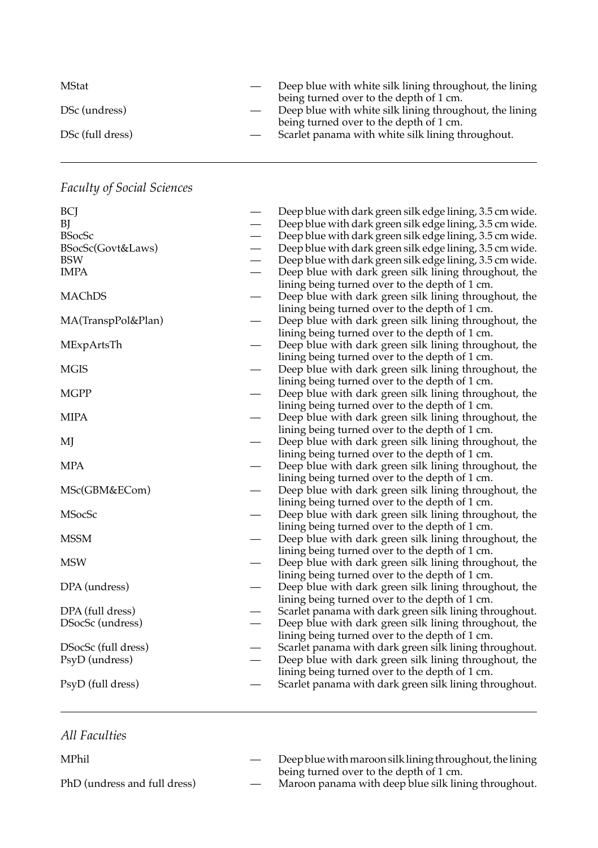| MStat            | Deep blue with white silk lining throughout, the lining<br>being turned over to the depth of 1 cm. |
|------------------|----------------------------------------------------------------------------------------------------|
| DSc (undress)    | Deep blue with white silk lining throughout, the lining                                            |
| DSc (full dress) | being turned over to the depth of 1 cm.<br>Scarlet panama with white silk lining throughout.       |

## *Faculty of Social Sciences*

| BCJ                 |                          | Deep blue with dark green silk edge lining, 3.5 cm wide. |
|---------------------|--------------------------|----------------------------------------------------------|
| BJ                  |                          | Deep blue with dark green silk edge lining, 3.5 cm wide. |
| <b>BSocSc</b>       |                          | Deep blue with dark green silk edge lining, 3.5 cm wide. |
| BSocSc(Govt&Laws)   |                          | Deep blue with dark green silk edge lining, 3.5 cm wide. |
| BSW                 |                          | Deep blue with dark green silk edge lining, 3.5 cm wide. |
| <b>IMPA</b>         | $\overline{\phantom{0}}$ | Deep blue with dark green silk lining throughout, the    |
|                     |                          | lining being turned over to the depth of 1 cm.           |
| MAChDS              |                          | Deep blue with dark green silk lining throughout, the    |
|                     |                          | lining being turned over to the depth of 1 cm.           |
| MA(TranspPol&Plan)  |                          | Deep blue with dark green silk lining throughout, the    |
|                     |                          | lining being turned over to the depth of 1 cm.           |
| MExpArtsTh          |                          | Deep blue with dark green silk lining throughout, the    |
|                     |                          | lining being turned over to the depth of 1 cm.           |
| MGIS                |                          | Deep blue with dark green silk lining throughout, the    |
|                     |                          | lining being turned over to the depth of 1 cm.           |
| <b>MGPP</b>         |                          | Deep blue with dark green silk lining throughout, the    |
|                     |                          | lining being turned over to the depth of 1 cm.           |
| MIPA                |                          | Deep blue with dark green silk lining throughout, the    |
|                     |                          | lining being turned over to the depth of 1 cm.           |
| MJ                  |                          | Deep blue with dark green silk lining throughout, the    |
|                     |                          | lining being turned over to the depth of 1 cm.           |
| <b>MPA</b>          |                          | Deep blue with dark green silk lining throughout, the    |
|                     |                          | lining being turned over to the depth of 1 cm.           |
| MSc(GBM&ECom)       |                          | Deep blue with dark green silk lining throughout, the    |
|                     |                          | lining being turned over to the depth of 1 cm.           |
| MSocSc              |                          | Deep blue with dark green silk lining throughout, the    |
|                     |                          | lining being turned over to the depth of 1 cm.           |
| <b>MSSM</b>         |                          | Deep blue with dark green silk lining throughout, the    |
|                     |                          | lining being turned over to the depth of 1 cm.           |
| MSW                 |                          | Deep blue with dark green silk lining throughout, the    |
|                     |                          | lining being turned over to the depth of 1 cm.           |
| DPA (undress)       |                          | Deep blue with dark green silk lining throughout, the    |
|                     |                          | lining being turned over to the depth of 1 cm.           |
| DPA (full dress)    |                          | Scarlet panama with dark green silk lining throughout.   |
| DSocSc (undress)    |                          | Deep blue with dark green silk lining throughout, the    |
|                     |                          | lining being turned over to the depth of 1 cm.           |
| DSocSc (full dress) |                          | Scarlet panama with dark green silk lining throughout.   |
| PsyD (undress)      |                          | Deep blue with dark green silk lining throughout, the    |
|                     |                          | lining being turned over to the depth of 1 cm.           |
| PsyD (full dress)   |                          | Scarlet panama with dark green silk lining throughout.   |
|                     |                          |                                                          |

## *All Faculties*

— Deep blue with maroon silk lining throughout, the lining turned over to the depth of 1 (undress and full dress) — Maroon panama with deep blue silk lining MPhil — Deepbluewithmaroonsilkliningthroughout,the lining PhD (undress and full dress) being turned over to the depth of 1 cm. PhD (undress and full dress) Maroon panama with deep blue silk lining throughout.